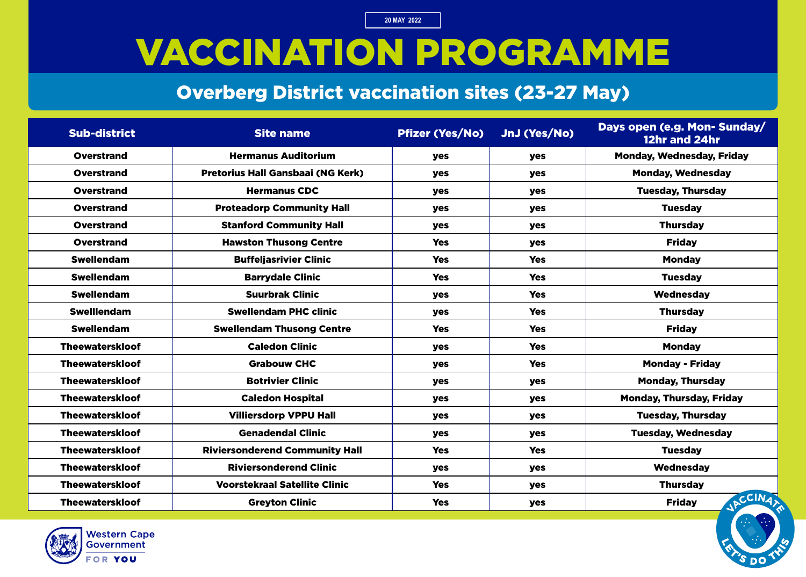### VACCINATION PROGRAMME

#### Overberg District vaccination sites (23-27 May)

| <b>Sub-district</b>    | <b>Site name</b>                         | <b>Pfizer (Yes/No)</b> | JnJ (Yes/No) | Days open (e.g. Mon- Sunday/<br>12hr and 24hr |
|------------------------|------------------------------------------|------------------------|--------------|-----------------------------------------------|
| <b>Overstrand</b>      | <b>Hermanus Auditorium</b>               | yes                    | <b>yes</b>   | <b>Monday, Wednesday, Friday</b>              |
| <b>Overstrand</b>      | <b>Pretorius Hall Gansbaai (NG Kerk)</b> | yes                    | yes          | <b>Monday, Wednesday</b>                      |
| <b>Overstrand</b>      | <b>Hermanus CDC</b>                      | yes                    | <b>yes</b>   | <b>Tuesday, Thursday</b>                      |
| <b>Overstrand</b>      | <b>Proteadorp Community Hall</b>         | yes                    | yes          | <b>Tuesday</b>                                |
| <b>Overstrand</b>      | <b>Stanford Community Hall</b>           | yes                    | <b>yes</b>   | <b>Thursday</b>                               |
| <b>Overstrand</b>      | <b>Hawston Thusong Centre</b>            | <b>Yes</b>             | <b>yes</b>   | <b>Friday</b>                                 |
| <b>Swellendam</b>      | <b>Buffeljasrivier Clinic</b>            | <b>Yes</b>             | <b>Yes</b>   | <b>Monday</b>                                 |
| <b>Swellendam</b>      | <b>Barrydale Clinic</b>                  | <b>Yes</b>             | <b>Yes</b>   | <b>Tuesday</b>                                |
| <b>Swellendam</b>      | <b>Suurbrak Clinic</b>                   | <b>yes</b>             | <b>Yes</b>   | <b>Wednesday</b>                              |
| <b>Swelllendam</b>     | <b>Swellendam PHC clinic</b>             | yes                    | <b>Yes</b>   | <b>Thursday</b>                               |
| <b>Swellendam</b>      | <b>Swellendam Thusong Centre</b>         | <b>Yes</b>             | <b>Yes</b>   | <b>Friday</b>                                 |
| <b>Theewaterskloof</b> | <b>Caledon Clinic</b>                    | yes                    | <b>Yes</b>   | <b>Monday</b>                                 |
| <b>Theewaterskloof</b> | <b>Grabouw CHC</b>                       | yes                    | <b>Yes</b>   | <b>Monday - Friday</b>                        |
| <b>Theewaterskloof</b> | <b>Botrivier Clinic</b>                  | yes                    | yes          | <b>Monday, Thursday</b>                       |
| <b>Theewaterskloof</b> | <b>Caledon Hospital</b>                  | yes                    | yes          | <b>Monday, Thursday, Friday</b>               |
| <b>Theewaterskloof</b> | <b>Villiersdorp VPPU Hall</b>            | yes                    | <b>yes</b>   | <b>Tuesday, Thursday</b>                      |
| <b>Theewaterskloof</b> | <b>Genadendal Clinic</b>                 | yes                    | <b>yes</b>   | <b>Tuesday, Wednesday</b>                     |
| <b>Theewaterskloof</b> | <b>Riviersonderend Community Hall</b>    | <b>Yes</b>             | <b>Yes</b>   | <b>Tuesday</b>                                |
| <b>Theewaterskloof</b> | <b>Riviersonderend Clinic</b>            | yes                    | <b>yes</b>   | Wednesday                                     |
| <b>Theewaterskloof</b> | <b>Voorstekraal Satellite Clinic</b>     | <b>Yes</b>             | <b>yes</b>   | <b>Thursday</b>                               |
| <b>Theewaterskloof</b> | <b>Greyton Clinic</b>                    | <b>Yes</b>             | yes          | JACCINA<br><b>Friday</b>                      |

=

=

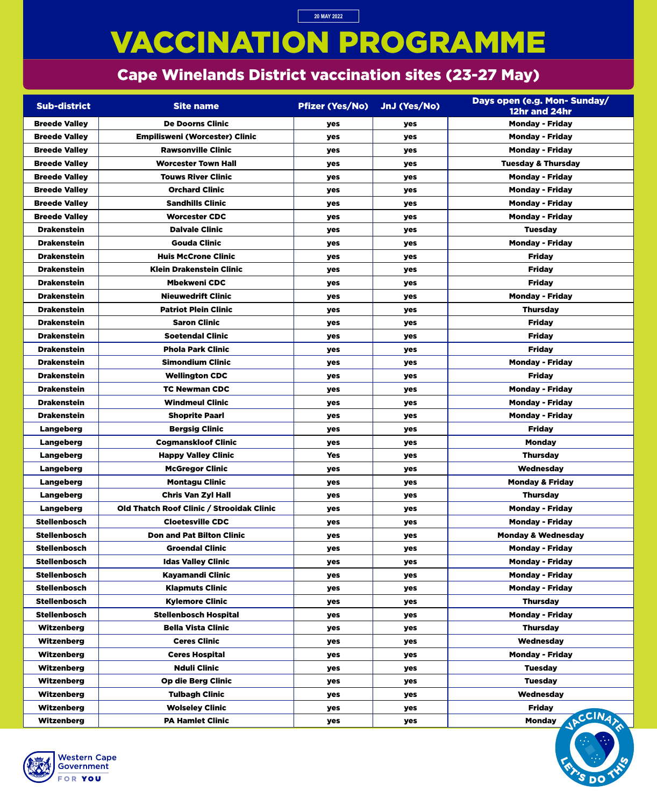# VACCINATION PROGRAMME

### Cape Winelands District vaccination sites (23-27 May)

**20 MAY 2022**

| <b>Sub-district</b>  | <b>Site name</b>                          | <b>Pfizer (Yes/No)</b> | JnJ (Yes/No) | Days open (e.g. Mon- Sunday/<br>12hr and 24hr |
|----------------------|-------------------------------------------|------------------------|--------------|-----------------------------------------------|
| <b>Breede Valley</b> | <b>De Doorns Clinic</b>                   | yes                    | yes          | <b>Monday - Friday</b>                        |
| <b>Breede Valley</b> | <b>Empilisweni (Worcester) Clinic</b>     | yes                    | yes          | <b>Monday - Friday</b>                        |
| <b>Breede Valley</b> | <b>Rawsonville Clinic</b>                 | <b>yes</b>             | yes          | <b>Monday - Friday</b>                        |
| <b>Breede Valley</b> | <b>Worcester Town Hall</b>                | <b>yes</b>             | yes          | <b>Tuesday &amp; Thursday</b>                 |
| <b>Breede Valley</b> | <b>Touws River Clinic</b>                 | <b>yes</b>             | <b>yes</b>   | <b>Monday - Friday</b>                        |
| <b>Breede Valley</b> | <b>Orchard Clinic</b>                     | yes                    | yes          | <b>Monday - Friday</b>                        |
| <b>Breede Valley</b> | <b>Sandhills Clinic</b>                   | <b>yes</b>             | yes          | <b>Monday - Friday</b>                        |
| <b>Breede Valley</b> | <b>Worcester CDC</b>                      | yes                    | yes          | <b>Monday - Friday</b>                        |
| <b>Drakenstein</b>   | <b>Dalvale Clinic</b>                     | <b>yes</b>             | yes          | <b>Tuesday</b>                                |
| <b>Drakenstein</b>   | <b>Gouda Clinic</b>                       | yes                    | yes          | <b>Monday - Friday</b>                        |
| <b>Drakenstein</b>   | <b>Huis McCrone Clinic</b>                | <b>yes</b>             | <b>yes</b>   | <b>Friday</b>                                 |
| <b>Drakenstein</b>   | <b>Klein Drakenstein Clinic</b>           | yes                    | yes          | <b>Friday</b>                                 |
| <b>Drakenstein</b>   | <b>Mbekweni CDC</b>                       | yes                    | yes          | <b>Friday</b>                                 |
| <b>Drakenstein</b>   | <b>Nieuwedrift Clinic</b>                 | <b>yes</b>             | yes          | <b>Monday - Friday</b>                        |
| <b>Drakenstein</b>   | <b>Patriot Plein Clinic</b>               | <b>yes</b>             | yes          | <b>Thursday</b>                               |
| <b>Drakenstein</b>   | <b>Saron Clinic</b>                       | <b>yes</b>             | <b>yes</b>   | <b>Friday</b>                                 |
| <b>Drakenstein</b>   | <b>Soetendal Clinic</b>                   | yes                    | yes          | <b>Friday</b>                                 |
| <b>Drakenstein</b>   | <b>Phola Park Clinic</b>                  | yes                    | yes          | <b>Friday</b>                                 |
| <b>Drakenstein</b>   | <b>Simondium Clinic</b>                   | yes                    | yes          | <b>Monday - Friday</b>                        |
| <b>Drakenstein</b>   | <b>Wellington CDC</b>                     | yes                    | yes          | <b>Friday</b>                                 |
| <b>Drakenstein</b>   | <b>TC Newman CDC</b>                      | yes                    | yes          | <b>Monday - Friday</b>                        |
| <b>Drakenstein</b>   | <b>Windmeul Clinic</b>                    | yes                    | yes          | <b>Monday - Friday</b>                        |
| <b>Drakenstein</b>   | <b>Shoprite Paarl</b>                     | yes                    | yes          | <b>Monday - Friday</b>                        |
| <b>Langeberg</b>     | <b>Bergsig Clinic</b>                     | <b>yes</b>             | yes          | <b>Friday</b>                                 |
| Langeberg            | <b>Cogmanskloof Clinic</b>                | yes                    | <b>yes</b>   | <b>Monday</b>                                 |
| <b>Langeberg</b>     | <b>Happy Valley Clinic</b>                | <b>Yes</b>             | yes          | <b>Thursday</b>                               |
| <b>Langeberg</b>     | <b>McGregor Clinic</b>                    | yes                    | yes          | Wednesday                                     |
| <b>Langeberg</b>     | <b>Montagu Clinic</b>                     | yes                    | yes          | <b>Monday &amp; Friday</b>                    |
| Langeberg            | <b>Chris Van Zyl Hall</b>                 | yes                    | yes          | <b>Thursday</b>                               |
| <b>Langeberg</b>     | Old Thatch Roof Clinic / Strooidak Clinic | yes                    | yes          | <b>Monday - Friday</b>                        |
| <b>Stellenbosch</b>  | <b>Cloetesville CDC</b>                   | yes                    | yes          | <b>Monday - Friday</b>                        |
| <b>Stellenbosch</b>  | <b>Don and Pat Bilton Clinic</b>          | yes                    | yes          | <b>Monday &amp; Wednesday</b>                 |
| <b>Stellenbosch</b>  | <b>Groendal Clinic</b>                    | yes                    | yes          | <b>Monday - Friday</b>                        |
| <b>Stellenbosch</b>  | <b>Idas Valley Clinic</b>                 | yes                    | yes          | <b>Monday - Friday</b>                        |
| <b>Stellenbosch</b>  | <b>Kayamandi Clinic</b>                   | yes                    | yes          | <b>Monday - Friday</b>                        |
| <b>Stellenbosch</b>  | <b>Klapmuts Clinic</b>                    | <b>yes</b>             | yes          | <b>Monday - Friday</b>                        |
| <b>Stellenbosch</b>  | <b>Kylemore Clinic</b>                    | <b>yes</b>             | yes          | <b>Thursday</b>                               |
| <b>Stellenbosch</b>  | <b>Stellenbosch Hospital</b>              | yes                    | yes          | <b>Monday - Friday</b>                        |
| <b>Witzenberg</b>    | <b>Bella Vista Clinic</b>                 | yes                    | yes          | <b>Thursday</b>                               |
| <b>Witzenberg</b>    | <b>Ceres Clinic</b>                       | yes                    | yes          | Wednesday                                     |
| <b>Witzenberg</b>    | <b>Ceres Hospital</b>                     | yes                    | yes          | <b>Monday - Friday</b>                        |
| Witzenberg           | <b>Nduli Clinic</b>                       | yes                    | yes          | <b>Tuesday</b>                                |
| <b>Witzenberg</b>    | <b>Op die Berg Clinic</b>                 | <b>yes</b>             | yes          | <b>Tuesday</b>                                |
| <b>Witzenberg</b>    | <b>Tulbagh Clinic</b>                     | <b>yes</b>             | yes          | Wednesday                                     |
| <b>Witzenberg</b>    | <b>Wolseley Clinic</b>                    | yes                    | yes          | <b>Friday</b><br>CCINA,                       |
| Witzenberg           | <b>PA Hamlet Clinic</b>                   | yes                    | yes          | <b>Monday</b>                                 |



=

DC

=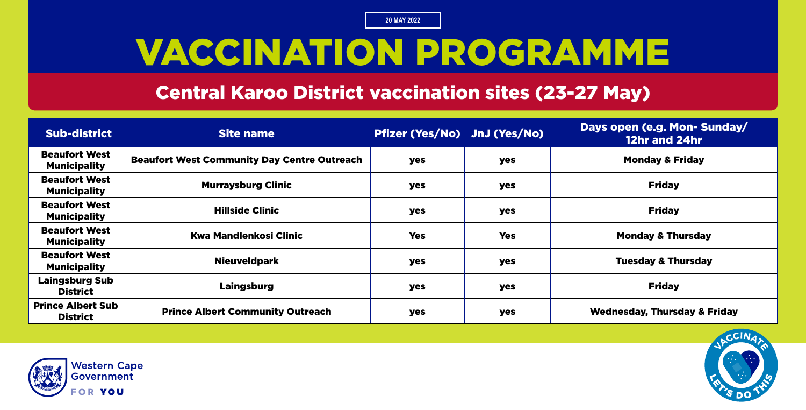# VACCINATION PROGRAMME

#### Central Karoo District vaccination sites (23-27 May)

| <b>Sub-district</b>                         | <b>Site name</b>                                   | Pfizer (Yes/No) JnJ (Yes/No) |            | Days open (e.g. Mon-Sunday/<br>12hr and 24hr |
|---------------------------------------------|----------------------------------------------------|------------------------------|------------|----------------------------------------------|
| <b>Beaufort West</b><br><b>Municipality</b> | <b>Beaufort West Community Day Centre Outreach</b> | <b>yes</b>                   | yes        | <b>Monday &amp; Friday</b>                   |
| <b>Beaufort West</b><br><b>Municipality</b> | <b>Murraysburg Clinic</b>                          | <b>yes</b>                   | <b>yes</b> | <b>Friday</b>                                |
| <b>Beaufort West</b><br><b>Municipality</b> | <b>Hillside Clinic</b>                             | <b>yes</b>                   | <b>yes</b> | <b>Friday</b>                                |
| <b>Beaufort West</b><br><b>Municipality</b> | Kwa Mandlenkosi Clinic                             | <b>Yes</b>                   | <b>Yes</b> | <b>Monday &amp; Thursday</b>                 |
| <b>Beaufort West</b><br><b>Municipality</b> | <b>Nieuveldpark</b>                                | <b>yes</b>                   | <b>yes</b> | <b>Tuesday &amp; Thursday</b>                |
| <b>Laingsburg Sub</b><br><b>District</b>    | Laingsburg                                         | yes                          | yes        | <b>Friday</b>                                |
| <b>Prince Albert Sub</b><br><b>District</b> | <b>Prince Albert Community Outreach</b>            | <b>yes</b>                   | yes        | <b>Wednesday, Thursday &amp; Friday</b>      |



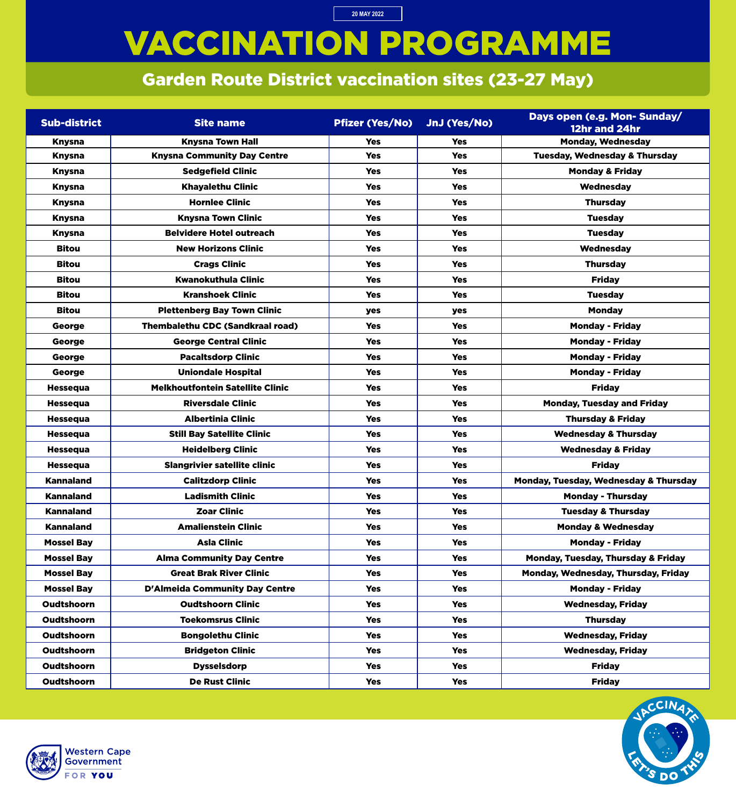# VACCINATION PROGRAMME

**20 MAY 2022**

### Garden Route District vaccination sites (23-27 May)

| <b>Sub-district</b> | <b>Site name</b>                        | <b>Pfizer (Yes/No)</b> | JnJ (Yes/No) | Days open (e.g. Mon- Sunday/<br>12hr and 24hr |
|---------------------|-----------------------------------------|------------------------|--------------|-----------------------------------------------|
| <b>Knysna</b>       | <b>Knysna Town Hall</b>                 | <b>Yes</b>             | <b>Yes</b>   | <b>Monday, Wednesday</b>                      |
| <b>Knysna</b>       | <b>Knysna Community Day Centre</b>      | <b>Yes</b>             | <b>Yes</b>   | <b>Tuesday, Wednesday &amp; Thursday</b>      |
| <b>Knysna</b>       | <b>Sedgefield Clinic</b>                | <b>Yes</b>             | <b>Yes</b>   | <b>Monday &amp; Friday</b>                    |
| <b>Knysna</b>       | <b>Khayalethu Clinic</b>                | <b>Yes</b>             | <b>Yes</b>   | Wednesday                                     |
| <b>Knysna</b>       | <b>Hornlee Clinic</b>                   | <b>Yes</b>             | <b>Yes</b>   | <b>Thursday</b>                               |
| <b>Knysna</b>       | <b>Knysna Town Clinic</b>               | <b>Yes</b>             | <b>Yes</b>   | <b>Tuesday</b>                                |
| <b>Knysna</b>       | <b>Belvidere Hotel outreach</b>         | <b>Yes</b>             | <b>Yes</b>   | <b>Tuesday</b>                                |
| <b>Bitou</b>        | <b>New Horizons Clinic</b>              | <b>Yes</b>             | <b>Yes</b>   | Wednesday                                     |
| <b>Bitou</b>        | <b>Crags Clinic</b>                     | <b>Yes</b>             | <b>Yes</b>   | <b>Thursday</b>                               |
| <b>Bitou</b>        | <b>Kwanokuthula Clinic</b>              | <b>Yes</b>             | <b>Yes</b>   | <b>Friday</b>                                 |
| <b>Bitou</b>        | <b>Kranshoek Clinic</b>                 | <b>Yes</b>             | <b>Yes</b>   | <b>Tuesday</b>                                |
| <b>Bitou</b>        | <b>Plettenberg Bay Town Clinic</b>      | yes                    | yes          | <b>Monday</b>                                 |
| George              | <b>Thembalethu CDC (Sandkraal road)</b> | <b>Yes</b>             | <b>Yes</b>   | <b>Monday - Friday</b>                        |
| George              | <b>George Central Clinic</b>            | <b>Yes</b>             | <b>Yes</b>   | <b>Monday - Friday</b>                        |
| George              | <b>Pacaltsdorp Clinic</b>               | <b>Yes</b>             | <b>Yes</b>   | <b>Monday - Friday</b>                        |
| George              | <b>Uniondale Hospital</b>               | <b>Yes</b>             | <b>Yes</b>   | <b>Monday - Friday</b>                        |
| <b>Hessequa</b>     | <b>Melkhoutfontein Satellite Clinic</b> | <b>Yes</b>             | <b>Yes</b>   | <b>Friday</b>                                 |
| <b>Hessequa</b>     | <b>Riversdale Clinic</b>                | <b>Yes</b>             | <b>Yes</b>   | <b>Monday, Tuesday and Friday</b>             |
| <b>Hessequa</b>     | <b>Albertinia Clinic</b>                | <b>Yes</b>             | <b>Yes</b>   | <b>Thursday &amp; Friday</b>                  |
| <b>Hessequa</b>     | <b>Still Bay Satellite Clinic</b>       | <b>Yes</b>             | <b>Yes</b>   | <b>Wednesday &amp; Thursday</b>               |
| <b>Hessequa</b>     | <b>Heidelberg Clinic</b>                | <b>Yes</b>             | <b>Yes</b>   | <b>Wednesday &amp; Friday</b>                 |
| <b>Hessequa</b>     | <b>Slangrivier satellite clinic</b>     | <b>Yes</b>             | <b>Yes</b>   | <b>Friday</b>                                 |
| <b>Kannaland</b>    | <b>Calitzdorp Clinic</b>                | <b>Yes</b>             | <b>Yes</b>   | Monday, Tuesday, Wednesday & Thursday         |
| <b>Kannaland</b>    | <b>Ladismith Clinic</b>                 | <b>Yes</b>             | <b>Yes</b>   | <b>Monday - Thursday</b>                      |
| <b>Kannaland</b>    | <b>Zoar Clinic</b>                      | <b>Yes</b>             | <b>Yes</b>   | <b>Tuesday &amp; Thursday</b>                 |
| <b>Kannaland</b>    | <b>Amalienstein Clinic</b>              | <b>Yes</b>             | <b>Yes</b>   | <b>Monday &amp; Wednesday</b>                 |
| <b>Mossel Bay</b>   | <b>Asla Clinic</b>                      | <b>Yes</b>             | <b>Yes</b>   | <b>Monday - Friday</b>                        |
| <b>Mossel Bay</b>   | <b>Alma Community Day Centre</b>        | <b>Yes</b>             | <b>Yes</b>   | Monday, Tuesday, Thursday & Friday            |
| <b>Mossel Bay</b>   | <b>Great Brak River Clinic</b>          | <b>Yes</b>             | <b>Yes</b>   | Monday, Wednesday, Thursday, Friday           |
| <b>Mossel Bay</b>   | <b>D'Almeida Community Day Centre</b>   | <b>Yes</b>             | <b>Yes</b>   | <b>Monday - Friday</b>                        |
| <b>Oudtshoorn</b>   | <b>Oudtshoorn Clinic</b>                | <b>Yes</b>             | <b>Yes</b>   | <b>Wednesday, Friday</b>                      |
| <b>Oudtshoorn</b>   | <b>Toekomsrus Clinic</b>                | <b>Yes</b>             | <b>Yes</b>   | <b>Thursday</b>                               |
| <b>Oudtshoorn</b>   | <b>Bongolethu Clinic</b>                | <b>Yes</b>             | <b>Yes</b>   | <b>Wednesday, Friday</b>                      |
| <b>Oudtshoorn</b>   | <b>Bridgeton Clinic</b>                 | <b>Yes</b>             | <b>Yes</b>   | <b>Wednesday, Friday</b>                      |
| <b>Oudtshoorn</b>   | <b>Dysselsdorp</b>                      | <b>Yes</b>             | <b>Yes</b>   | <b>Friday</b>                                 |
| <b>Oudtshoorn</b>   | <b>De Rust Clinic</b>                   | <b>Yes</b>             | <b>Yes</b>   | <b>Friday</b>                                 |



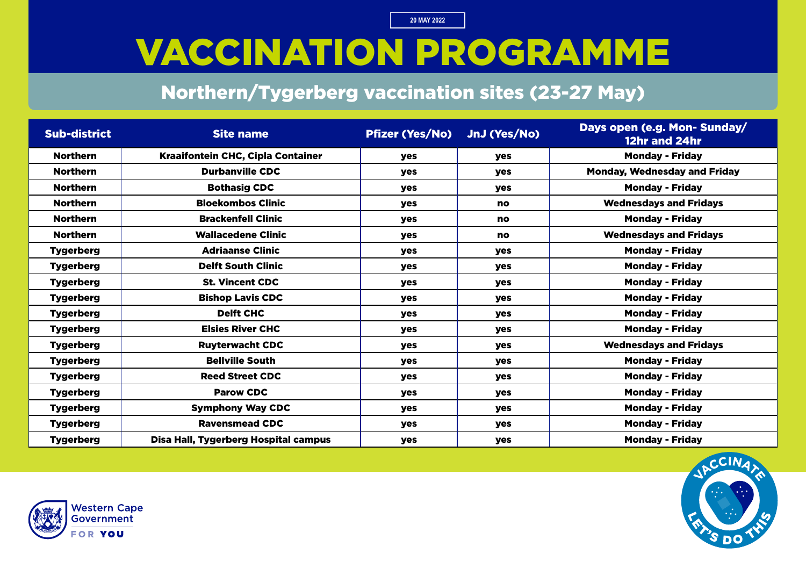## VACCINATION PROGRAMME

#### Northern/Tygerberg vaccination sites (23-27 May)

| <b>Sub-district</b> | <b>Site name</b>                         | <b>Pfizer (Yes/No)</b> | JnJ (Yes/No) | Days open (e.g. Mon-Sunday/<br>12hr and 24hr |
|---------------------|------------------------------------------|------------------------|--------------|----------------------------------------------|
| <b>Northern</b>     | <b>Kraaifontein CHC, Cipla Container</b> | <b>yes</b>             | yes          | <b>Monday - Friday</b>                       |
| <b>Northern</b>     | <b>Durbanville CDC</b>                   | yes                    | yes          | <b>Monday, Wednesday and Friday</b>          |
| <b>Northern</b>     | <b>Bothasig CDC</b>                      | <b>yes</b>             | <b>yes</b>   | <b>Monday - Friday</b>                       |
| <b>Northern</b>     | <b>Bloekombos Clinic</b>                 | <b>yes</b>             | <b>no</b>    | <b>Wednesdays and Fridays</b>                |
| <b>Northern</b>     | <b>Brackenfell Clinic</b>                | <b>yes</b>             | <b>no</b>    | <b>Monday - Friday</b>                       |
| <b>Northern</b>     | <b>Wallacedene Clinic</b>                | <b>yes</b>             | <b>no</b>    | <b>Wednesdays and Fridays</b>                |
| <b>Tygerberg</b>    | <b>Adriaanse Clinic</b>                  | yes                    | yes          | <b>Monday - Friday</b>                       |
| <b>Tygerberg</b>    | <b>Delft South Clinic</b>                | yes                    | yes          | <b>Monday - Friday</b>                       |
| <b>Tygerberg</b>    | <b>St. Vincent CDC</b>                   | <b>yes</b>             | <b>yes</b>   | <b>Monday - Friday</b>                       |
| <b>Tygerberg</b>    | <b>Bishop Lavis CDC</b>                  | <b>yes</b>             | <b>yes</b>   | <b>Monday - Friday</b>                       |
| <b>Tygerberg</b>    | <b>Delft CHC</b>                         | <b>yes</b>             | yes          | <b>Monday - Friday</b>                       |
| <b>Tygerberg</b>    | <b>Elsies River CHC</b>                  | <b>yes</b>             | yes          | <b>Monday - Friday</b>                       |
| <b>Tygerberg</b>    | <b>Ruyterwacht CDC</b>                   | yes                    | yes          | <b>Wednesdays and Fridays</b>                |
| <b>Tygerberg</b>    | <b>Bellville South</b>                   | yes                    | yes          | <b>Monday - Friday</b>                       |
| <b>Tygerberg</b>    | <b>Reed Street CDC</b>                   | <b>yes</b>             | <b>yes</b>   | <b>Monday - Friday</b>                       |
| <b>Tygerberg</b>    | <b>Parow CDC</b>                         | <b>yes</b>             | yes          | <b>Monday - Friday</b>                       |
| <b>Tygerberg</b>    | <b>Symphony Way CDC</b>                  | <b>yes</b>             | yes          | <b>Monday - Friday</b>                       |
| <b>Tygerberg</b>    | <b>Ravensmead CDC</b>                    | <b>yes</b>             | yes          | <b>Monday - Friday</b>                       |
| <b>Tygerberg</b>    | Disa Hall, Tygerberg Hospital campus     | yes                    | yes          | <b>Monday - Friday</b>                       |



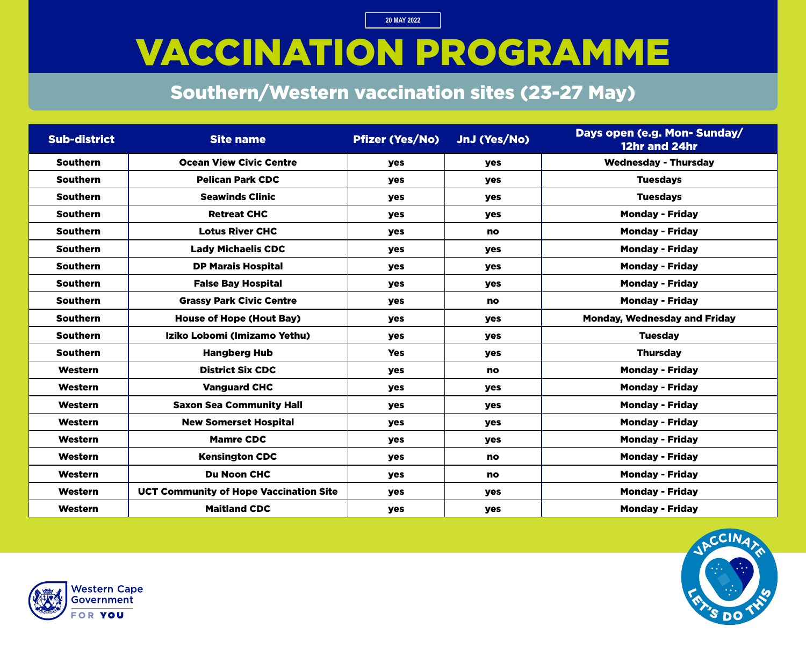## VACCINATION PROGRAMME

### Southern/Western vaccination sites (23-27 May)

| <b>Sub-district</b> | <b>Site name</b>                              | <b>Pfizer (Yes/No)</b> | JnJ (Yes/No) | Days open (e.g. Mon- Sunday/<br>12hr and 24hr |
|---------------------|-----------------------------------------------|------------------------|--------------|-----------------------------------------------|
| <b>Southern</b>     | <b>Ocean View Civic Centre</b>                | <b>yes</b>             | <b>yes</b>   | <b>Wednesday - Thursday</b>                   |
| <b>Southern</b>     | <b>Pelican Park CDC</b>                       | yes                    | yes          | <b>Tuesdays</b>                               |
| <b>Southern</b>     | <b>Seawinds Clinic</b>                        | <b>yes</b>             | <b>yes</b>   | <b>Tuesdays</b>                               |
| <b>Southern</b>     | <b>Retreat CHC</b>                            | yes                    | yes          | <b>Monday - Friday</b>                        |
| <b>Southern</b>     | <b>Lotus River CHC</b>                        | yes                    | <b>no</b>    | <b>Monday - Friday</b>                        |
| <b>Southern</b>     | <b>Lady Michaelis CDC</b>                     | yes                    | <b>yes</b>   | <b>Monday - Friday</b>                        |
| <b>Southern</b>     | <b>DP Marais Hospital</b>                     | yes                    | <b>yes</b>   | <b>Monday - Friday</b>                        |
| <b>Southern</b>     | <b>False Bay Hospital</b>                     | <b>yes</b>             | <b>yes</b>   | <b>Monday - Friday</b>                        |
| <b>Southern</b>     | <b>Grassy Park Civic Centre</b>               | yes                    | <b>no</b>    | <b>Monday - Friday</b>                        |
| <b>Southern</b>     | <b>House of Hope (Hout Bay)</b>               | yes                    | <b>yes</b>   | <b>Monday, Wednesday and Friday</b>           |
| <b>Southern</b>     | Iziko Lobomi (Imizamo Yethu)                  | <b>yes</b>             | <b>yes</b>   | <b>Tuesday</b>                                |
| <b>Southern</b>     | <b>Hangberg Hub</b>                           | <b>Yes</b>             | <b>yes</b>   | <b>Thursday</b>                               |
| Western             | <b>District Six CDC</b>                       | yes                    | <b>no</b>    | <b>Monday - Friday</b>                        |
| Western             | <b>Vanguard CHC</b>                           | <b>yes</b>             | <b>yes</b>   | <b>Monday - Friday</b>                        |
| Western             | <b>Saxon Sea Community Hall</b>               | yes                    | <b>yes</b>   | <b>Monday - Friday</b>                        |
| Western             | <b>New Somerset Hospital</b>                  | yes                    | <b>yes</b>   | <b>Monday - Friday</b>                        |
| <b>Western</b>      | <b>Mamre CDC</b>                              | <b>yes</b>             | <b>yes</b>   | <b>Monday - Friday</b>                        |
| Western             | <b>Kensington CDC</b>                         | yes                    | <b>no</b>    | <b>Monday - Friday</b>                        |
| Western             | <b>Du Noon CHC</b>                            | yes                    | no           | <b>Monday - Friday</b>                        |
| Western             | <b>UCT Community of Hope Vaccination Site</b> | yes                    | yes          | <b>Monday - Friday</b>                        |
| Western             | <b>Maitland CDC</b>                           | yes                    | <b>yes</b>   | <b>Monday - Friday</b>                        |



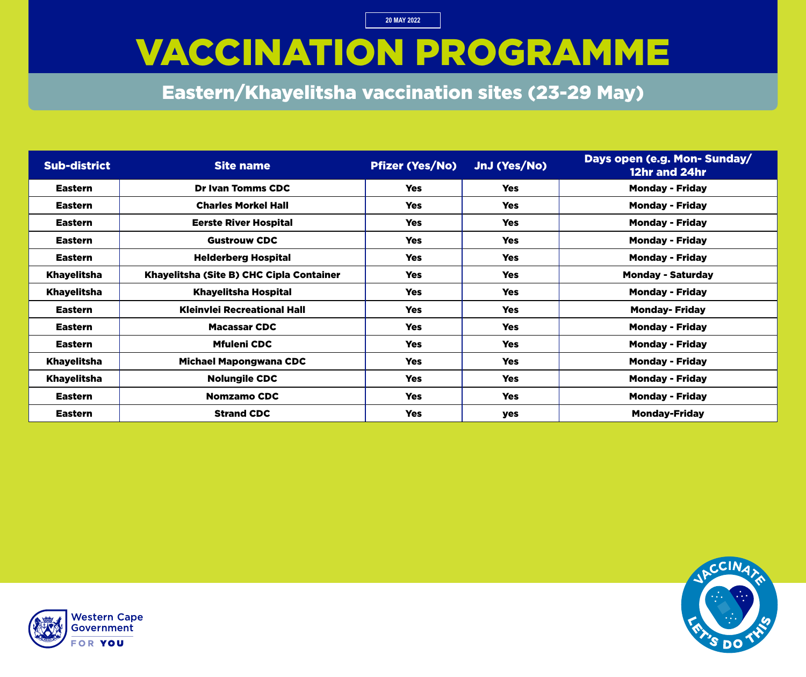### VACCINATION PROGRAMME

Eastern/Khayelitsha vaccination sites (23-29 May)

| <b>Sub-district</b> | <b>Site name</b>                         | <b>Pfizer (Yes/No)</b> | JnJ (Yes/No) | Days open (e.g. Mon- Sunday/<br>12hr and 24hr |
|---------------------|------------------------------------------|------------------------|--------------|-----------------------------------------------|
| <b>Eastern</b>      | <b>Dr Ivan Tomms CDC</b>                 | <b>Yes</b>             | <b>Yes</b>   | <b>Monday - Friday</b>                        |
| <b>Eastern</b>      | <b>Charles Morkel Hall</b>               | <b>Yes</b>             | <b>Yes</b>   | <b>Monday - Friday</b>                        |
| <b>Eastern</b>      | <b>Eerste River Hospital</b>             | <b>Yes</b>             | <b>Yes</b>   | <b>Monday - Friday</b>                        |
| <b>Eastern</b>      | <b>Gustrouw CDC</b>                      | <b>Yes</b>             | <b>Yes</b>   | <b>Monday - Friday</b>                        |
| <b>Eastern</b>      | <b>Helderberg Hospital</b>               | <b>Yes</b>             | <b>Yes</b>   | <b>Monday - Friday</b>                        |
| <b>Khayelitsha</b>  | Khayelitsha (Site B) CHC Cipla Container | <b>Yes</b>             | <b>Yes</b>   | <b>Monday - Saturday</b>                      |
| <b>Khayelitsha</b>  | <b>Khayelitsha Hospital</b>              | <b>Yes</b>             | <b>Yes</b>   | <b>Monday - Friday</b>                        |
| <b>Eastern</b>      | <b>Kleinvlei Recreational Hall</b>       | <b>Yes</b>             | <b>Yes</b>   | <b>Monday-Friday</b>                          |
| <b>Eastern</b>      | <b>Macassar CDC</b>                      | <b>Yes</b>             | <b>Yes</b>   | <b>Monday - Friday</b>                        |
| <b>Eastern</b>      | <b>Mfuleni CDC</b>                       | <b>Yes</b>             | <b>Yes</b>   | <b>Monday - Friday</b>                        |
| <b>Khayelitsha</b>  | <b>Michael Mapongwana CDC</b>            | <b>Yes</b>             | <b>Yes</b>   | <b>Monday - Friday</b>                        |
| <b>Khayelitsha</b>  | <b>Nolungile CDC</b>                     | <b>Yes</b>             | <b>Yes</b>   | <b>Monday - Friday</b>                        |
| <b>Eastern</b>      | <b>Nomzamo CDC</b>                       | <b>Yes</b>             | <b>Yes</b>   | <b>Monday - Friday</b>                        |
| <b>Eastern</b>      | <b>Strand CDC</b>                        | <b>Yes</b>             | <b>yes</b>   | <b>Monday-Friday</b>                          |



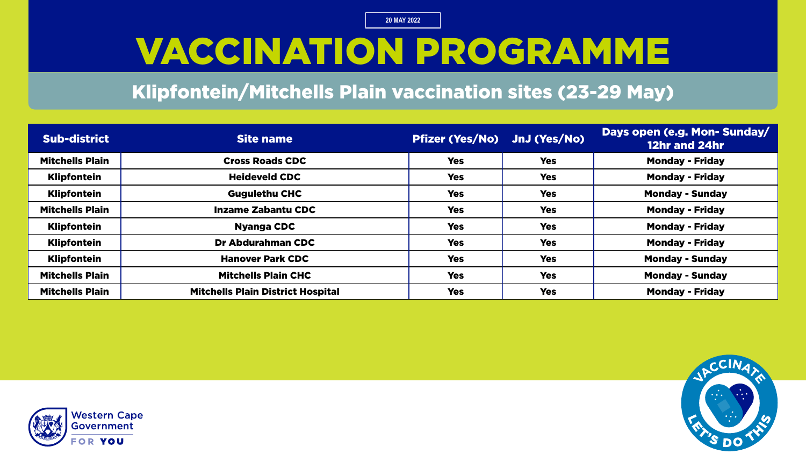# VACCINATION PROGRAMME

#### Klipfontein/Mitchells Plain vaccination sites (23-29 May)

| <b>Sub-district</b>    | Site name                                | Pfizer (Yes/No) JnJ (Yes/No) |            | Days open (e.g. Mon- Sunday/<br>12hr and 24hr |
|------------------------|------------------------------------------|------------------------------|------------|-----------------------------------------------|
| <b>Mitchells Plain</b> | <b>Cross Roads CDC</b>                   | <b>Yes</b>                   | <b>Yes</b> | <b>Monday - Friday</b>                        |
| <b>Klipfontein</b>     | <b>Heideveld CDC</b>                     | <b>Yes</b>                   | <b>Yes</b> | <b>Monday - Friday</b>                        |
| <b>Klipfontein</b>     | <b>Gugulethu CHC</b>                     | <b>Yes</b>                   | <b>Yes</b> | <b>Monday - Sunday</b>                        |
| <b>Mitchells Plain</b> | <b>Inzame Zabantu CDC</b>                | <b>Yes</b>                   | <b>Yes</b> | <b>Monday - Friday</b>                        |
| <b>Klipfontein</b>     | <b>Nyanga CDC</b>                        | <b>Yes</b>                   | <b>Yes</b> | <b>Monday - Friday</b>                        |
| <b>Klipfontein</b>     | <b>Dr Abdurahman CDC</b>                 | <b>Yes</b>                   | <b>Yes</b> | <b>Monday - Friday</b>                        |
| <b>Klipfontein</b>     | <b>Hanover Park CDC</b>                  | <b>Yes</b>                   | <b>Yes</b> | <b>Monday - Sunday</b>                        |
| <b>Mitchells Plain</b> | <b>Mitchells Plain CHC</b>               | <b>Yes</b>                   | <b>Yes</b> | <b>Monday - Sunday</b>                        |
| <b>Mitchells Plain</b> | <b>Mitchells Plain District Hospital</b> | <b>Yes</b>                   | <b>Yes</b> | <b>Monday - Friday</b>                        |